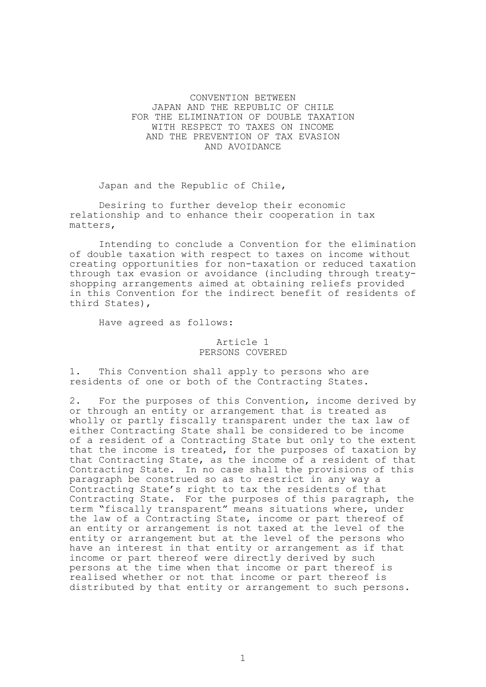# CONVENTION BETWEEN JAPAN AND THE REPUBLIC OF CHILE FOR THE ELIMINATION OF DOUBLE TAXATION WITH RESPECT TO TAXES ON INCOME AND THE PREVENTION OF TAX EVASION AND AVOIDANCE

Japan and the Republic of Chile,

Desiring to further develop their economic relationship and to enhance their cooperation in tax matters,

Intending to conclude a Convention for the elimination of double taxation with respect to taxes on income without creating opportunities for non-taxation or reduced taxation through tax evasion or avoidance (including through treatyshopping arrangements aimed at obtaining reliefs provided in this Convention for the indirect benefit of residents of third States),

Have agreed as follows:

## Article 1 PERSONS COVERED

1. This Convention shall apply to persons who are residents of one or both of the Contracting States.

2. For the purposes of this Convention, income derived by or through an entity or arrangement that is treated as wholly or partly fiscally transparent under the tax law of either Contracting State shall be considered to be income of a resident of a Contracting State but only to the extent that the income is treated, for the purposes of taxation by that Contracting State, as the income of a resident of that Contracting State. In no case shall the provisions of this paragraph be construed so as to restrict in any way a Contracting State's right to tax the residents of that Contracting State. For the purposes of this paragraph, the term "fiscally transparent" means situations where, under the law of a Contracting State, income or part thereof of an entity or arrangement is not taxed at the level of the entity or arrangement but at the level of the persons who have an interest in that entity or arrangement as if that income or part thereof were directly derived by such persons at the time when that income or part thereof is realised whether or not that income or part thereof is distributed by that entity or arrangement to such persons.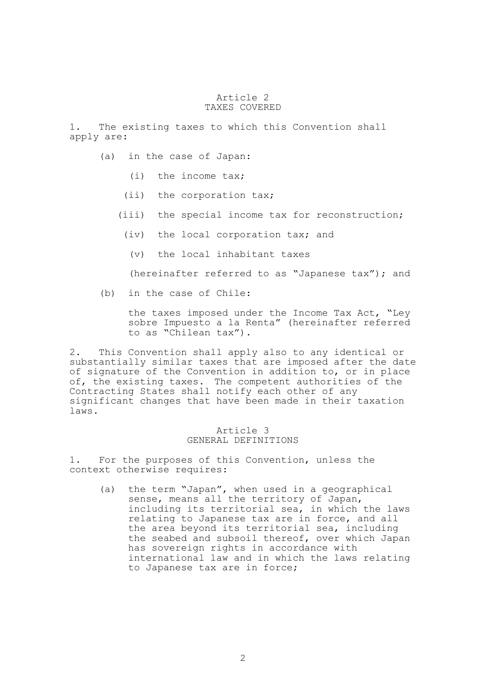## Article 2 TAXES COVERED

1. The existing taxes to which this Convention shall apply are:

- (a) in the case of Japan:
	- (i) the income tax;
	- (ii) the corporation tax;
	- (iii) the special income tax for reconstruction;
		- (iv) the local corporation tax; and
			- (v) the local inhabitant taxes

(hereinafter referred to as "Japanese tax"); and

(b) in the case of Chile:

the taxes imposed under the Income Tax Act, "Ley sobre Impuesto a la Renta" (hereinafter referred to as "Chilean tax").

2. This Convention shall apply also to any identical or substantially similar taxes that are imposed after the date of signature of the Convention in addition to, or in place of, the existing taxes. The competent authorities of the Contracting States shall notify each other of any significant changes that have been made in their taxation laws.

## Article 3 GENERAL DEFINITIONS

1. For the purposes of this Convention, unless the context otherwise requires:

(a) the term "Japan", when used in a geographical sense, means all the territory of Japan, including its territorial sea, in which the laws relating to Japanese tax are in force, and all the area beyond its territorial sea, including the seabed and subsoil thereof, over which Japan has sovereign rights in accordance with international law and in which the laws relating to Japanese tax are in force;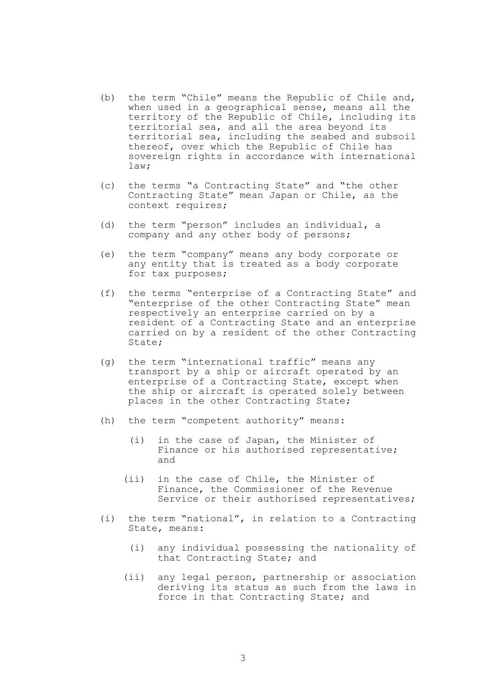- (b) the term "Chile" means the Republic of Chile and, when used in a geographical sense, means all the territory of the Republic of Chile, including its territorial sea, and all the area beyond its territorial sea, including the seabed and subsoil thereof, over which the Republic of Chile has sovereign rights in accordance with international law;
- (c) the terms "a Contracting State" and "the other Contracting State" mean Japan or Chile, as the context requires;
- (d) the term "person" includes an individual, a company and any other body of persons;
- (e) the term "company" means any body corporate or any entity that is treated as a body corporate for tax purposes;
- (f) the terms "enterprise of a Contracting State" and "enterprise of the other Contracting State" mean respectively an enterprise carried on by a resident of a Contracting State and an enterprise carried on by a resident of the other Contracting State;
- (g) the term "international traffic" means any transport by a ship or aircraft operated by an enterprise of a Contracting State, except when the ship or aircraft is operated solely between places in the other Contracting State;
- (h) the term "competent authority" means:
	- (i) in the case of Japan, the Minister of Finance or his authorised representative; and
	- (ii) in the case of Chile, the Minister of Finance, the Commissioner of the Revenue Service or their authorised representatives;
- (i) the term "national", in relation to a Contracting State, means:
	- (i) any individual possessing the nationality of that Contracting State; and
	- (ii) any legal person, partnership or association deriving its status as such from the laws in force in that Contracting State; and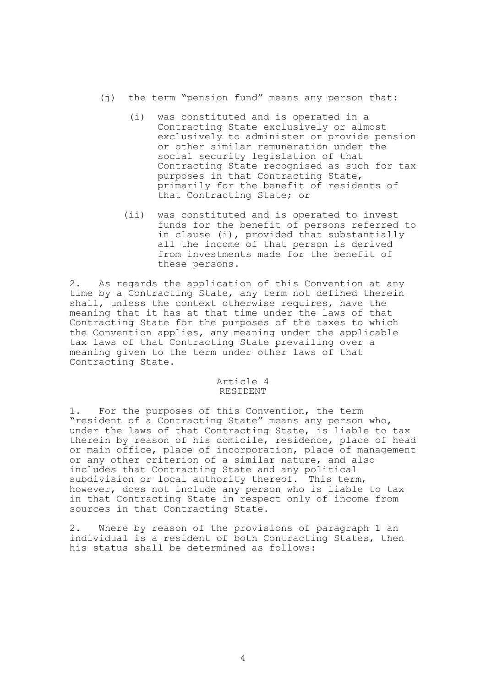- (j) the term "pension fund" means any person that:
	- (i) was constituted and is operated in a Contracting State exclusively or almost exclusively to administer or provide pension or other similar remuneration under the social security legislation of that Contracting State recognised as such for tax purposes in that Contracting State, primarily for the benefit of residents of that Contracting State; or
	- (ii) was constituted and is operated to invest funds for the benefit of persons referred to in clause (i), provided that substantially all the income of that person is derived from investments made for the benefit of these persons.

2. As regards the application of this Convention at any time by a Contracting State, any term not defined therein shall, unless the context otherwise requires, have the meaning that it has at that time under the laws of that Contracting State for the purposes of the taxes to which the Convention applies, any meaning under the applicable tax laws of that Contracting State prevailing over a meaning given to the term under other laws of that Contracting State.

# Article 4 RESIDENT

1. For the purposes of this Convention, the term "resident of a Contracting State" means any person who, under the laws of that Contracting State, is liable to tax therein by reason of his domicile, residence, place of head or main office, place of incorporation, place of management or any other criterion of a similar nature, and also includes that Contracting State and any political subdivision or local authority thereof. This term, however, does not include any person who is liable to tax in that Contracting State in respect only of income from sources in that Contracting State.

2. Where by reason of the provisions of paragraph 1 an individual is a resident of both Contracting States, then his status shall be determined as follows: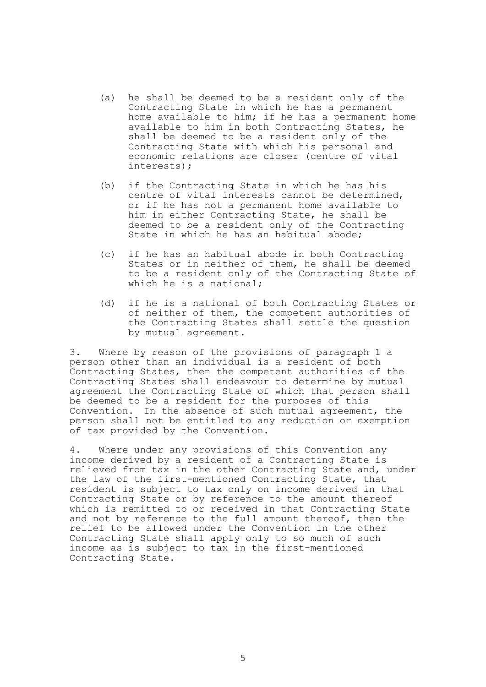- (a) he shall be deemed to be a resident only of the Contracting State in which he has a permanent home available to him; if he has a permanent home available to him in both Contracting States, he shall be deemed to be a resident only of the Contracting State with which his personal and economic relations are closer (centre of vital interests);
- (b) if the Contracting State in which he has his centre of vital interests cannot be determined, or if he has not a permanent home available to him in either Contracting State, he shall be deemed to be a resident only of the Contracting State in which he has an habitual abode;
- (c) if he has an habitual abode in both Contracting States or in neither of them, he shall be deemed to be a resident only of the Contracting State of which he is a national;
- (d) if he is a national of both Contracting States or of neither of them, the competent authorities of the Contracting States shall settle the question by mutual agreement.

3. Where by reason of the provisions of paragraph 1 a person other than an individual is a resident of both Contracting States, then the competent authorities of the Contracting States shall endeavour to determine by mutual agreement the Contracting State of which that person shall be deemed to be a resident for the purposes of this Convention. In the absence of such mutual agreement, the person shall not be entitled to any reduction or exemption of tax provided by the Convention.

4. Where under any provisions of this Convention any income derived by a resident of a Contracting State is relieved from tax in the other Contracting State and, under the law of the first-mentioned Contracting State, that resident is subject to tax only on income derived in that Contracting State or by reference to the amount thereof which is remitted to or received in that Contracting State and not by reference to the full amount thereof, then the relief to be allowed under the Convention in the other Contracting State shall apply only to so much of such income as is subject to tax in the first-mentioned Contracting State.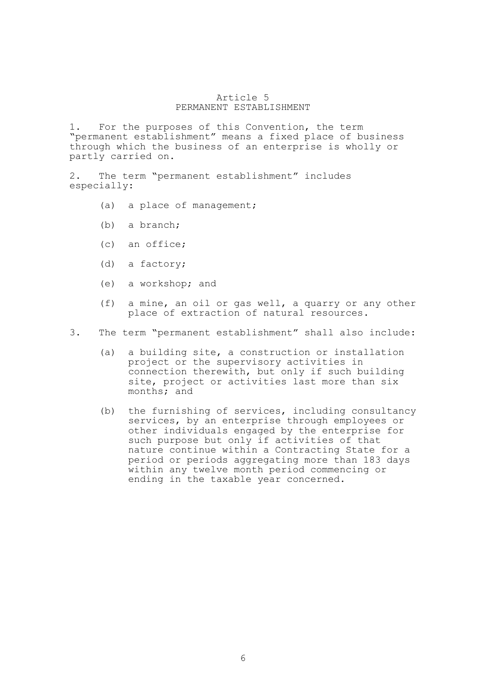## Article 5 PERMANENT ESTABLISHMENT

1. For the purposes of this Convention, the term "permanent establishment" means a fixed place of business through which the business of an enterprise is wholly or partly carried on.

2. The term "permanent establishment" includes especially:

- (a) a place of management;
- (b) a branch;
- (c) an office;
- (d) a factory;
- (e) a workshop; and
- (f) a mine, an oil or gas well, a quarry or any other place of extraction of natural resources.
- 3. The term "permanent establishment" shall also include:
	- (a) a building site, a construction or installation project or the supervisory activities in connection therewith, but only if such building site, project or activities last more than six months; and
	- (b) the furnishing of services, including consultancy services, by an enterprise through employees or other individuals engaged by the enterprise for such purpose but only if activities of that nature continue within a Contracting State for a period or periods aggregating more than 183 days within any twelve month period commencing or ending in the taxable year concerned.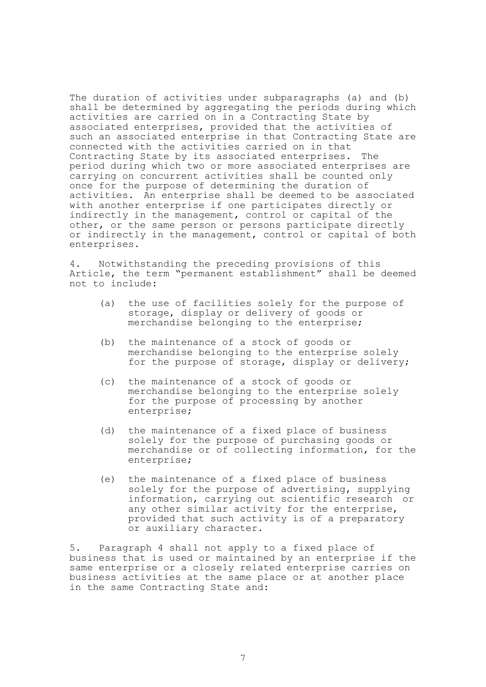The duration of activities under subparagraphs (a) and (b) shall be determined by aggregating the periods during which activities are carried on in a Contracting State by associated enterprises, provided that the activities of such an associated enterprise in that Contracting State are connected with the activities carried on in that Contracting State by its associated enterprises. The period during which two or more associated enterprises are carrying on concurrent activities shall be counted only once for the purpose of determining the duration of activities. An enterprise shall be deemed to be associated with another enterprise if one participates directly or indirectly in the management, control or capital of the other, or the same person or persons participate directly or indirectly in the management, control or capital of both enterprises.

4. Notwithstanding the preceding provisions of this Article, the term "permanent establishment" shall be deemed not to include:

- (a) the use of facilities solely for the purpose of storage, display or delivery of goods or merchandise belonging to the enterprise;
- (b) the maintenance of a stock of goods or merchandise belonging to the enterprise solely for the purpose of storage, display or delivery;
- (c) the maintenance of a stock of goods or merchandise belonging to the enterprise solely for the purpose of processing by another enterprise;
- (d) the maintenance of a fixed place of business solely for the purpose of purchasing goods or merchandise or of collecting information, for the enterprise;
- (e) the maintenance of a fixed place of business solely for the purpose of advertising, supplying information, carrying out scientific research or any other similar activity for the enterprise, provided that such activity is of a preparatory or auxiliary character.

5. Paragraph 4 shall not apply to a fixed place of business that is used or maintained by an enterprise if the same enterprise or a closely related enterprise carries on business activities at the same place or at another place in the same Contracting State and: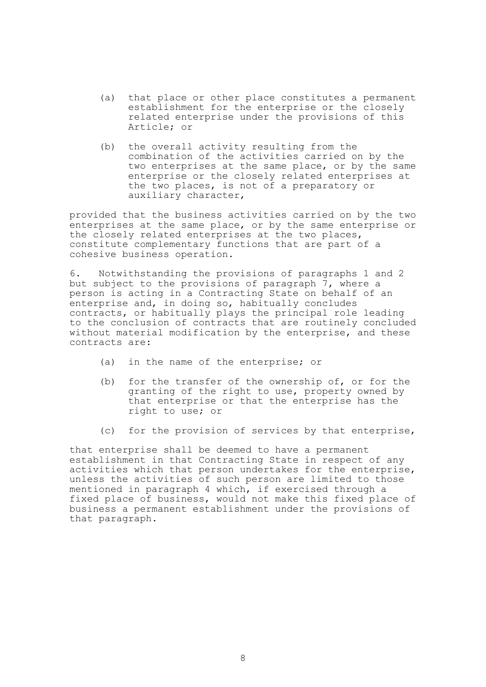- (a) that place or other place constitutes a permanent establishment for the enterprise or the closely related enterprise under the provisions of this Article; or
- (b) the overall activity resulting from the combination of the activities carried on by the two enterprises at the same place, or by the same enterprise or the closely related enterprises at the two places, is not of a preparatory or auxiliary character,

provided that the business activities carried on by the two enterprises at the same place, or by the same enterprise or the closely related enterprises at the two places, constitute complementary functions that are part of a cohesive business operation.

6. Notwithstanding the provisions of paragraphs 1 and 2 but subject to the provisions of paragraph 7, where a person is acting in a Contracting State on behalf of an enterprise and, in doing so, habitually concludes contracts, or habitually plays the principal role leading to the conclusion of contracts that are routinely concluded without material modification by the enterprise, and these contracts are:

- (a) in the name of the enterprise; or
- (b) for the transfer of the ownership of, or for the granting of the right to use, property owned by that enterprise or that the enterprise has the right to use; or
- (c) for the provision of services by that enterprise,

that enterprise shall be deemed to have a permanent establishment in that Contracting State in respect of any activities which that person undertakes for the enterprise, unless the activities of such person are limited to those mentioned in paragraph 4 which, if exercised through a fixed place of business, would not make this fixed place of business a permanent establishment under the provisions of that paragraph.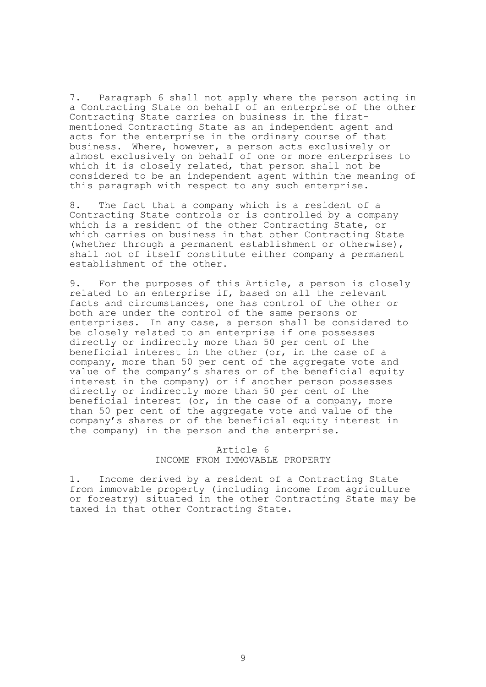7. Paragraph 6 shall not apply where the person acting in a Contracting State on behalf of an enterprise of the other Contracting State carries on business in the firstmentioned Contracting State as an independent agent and acts for the enterprise in the ordinary course of that business. Where, however, a person acts exclusively or almost exclusively on behalf of one or more enterprises to which it is closely related, that person shall not be considered to be an independent agent within the meaning of this paragraph with respect to any such enterprise.

8. The fact that a company which is a resident of a Contracting State controls or is controlled by a company which is a resident of the other Contracting State, or which carries on business in that other Contracting State (whether through a permanent establishment or otherwise), shall not of itself constitute either company a permanent establishment of the other.

9. For the purposes of this Article, a person is closely related to an enterprise if, based on all the relevant facts and circumstances, one has control of the other or both are under the control of the same persons or enterprises. In any case, a person shall be considered to be closely related to an enterprise if one possesses directly or indirectly more than 50 per cent of the beneficial interest in the other (or, in the case of a company, more than 50 per cent of the aggregate vote and value of the company's shares or of the beneficial equity interest in the company) or if another person possesses directly or indirectly more than 50 per cent of the beneficial interest (or, in the case of a company, more than 50 per cent of the aggregate vote and value of the company's shares or of the beneficial equity interest in the company) in the person and the enterprise.

## Article 6 INCOME FROM IMMOVABLE PROPERTY

1. Income derived by a resident of a Contracting State from immovable property (including income from agriculture or forestry) situated in the other Contracting State may be taxed in that other Contracting State.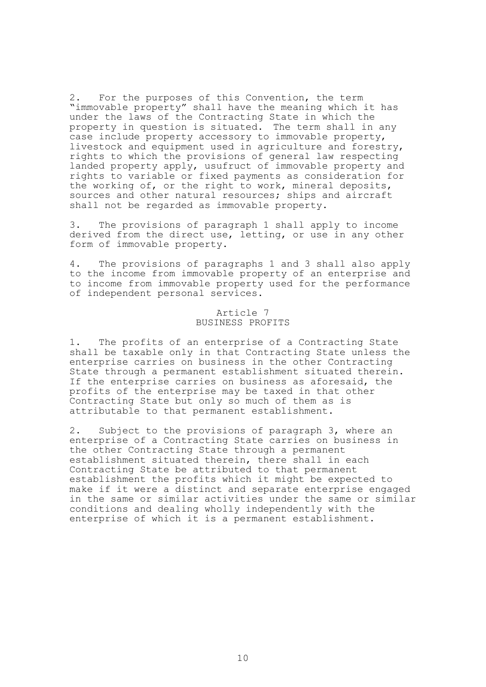2. For the purposes of this Convention, the term "immovable property" shall have the meaning which it has under the laws of the Contracting State in which the property in question is situated. The term shall in any case include property accessory to immovable property, livestock and equipment used in agriculture and forestry, rights to which the provisions of general law respecting landed property apply, usufruct of immovable property and rights to variable or fixed payments as consideration for the working of, or the right to work, mineral deposits, sources and other natural resources; ships and aircraft shall not be regarded as immovable property.

3. The provisions of paragraph 1 shall apply to income derived from the direct use, letting, or use in any other form of immovable property.

4. The provisions of paragraphs 1 and 3 shall also apply to the income from immovable property of an enterprise and to income from immovable property used for the performance of independent personal services.

## Article 7 BUSINESS PROFITS

1. The profits of an enterprise of a Contracting State shall be taxable only in that Contracting State unless the enterprise carries on business in the other Contracting State through a permanent establishment situated therein. If the enterprise carries on business as aforesaid, the profits of the enterprise may be taxed in that other Contracting State but only so much of them as is attributable to that permanent establishment.

2. Subject to the provisions of paragraph 3, where an enterprise of a Contracting State carries on business in the other Contracting State through a permanent establishment situated therein, there shall in each Contracting State be attributed to that permanent establishment the profits which it might be expected to make if it were a distinct and separate enterprise engaged in the same or similar activities under the same or similar conditions and dealing wholly independently with the enterprise of which it is a permanent establishment.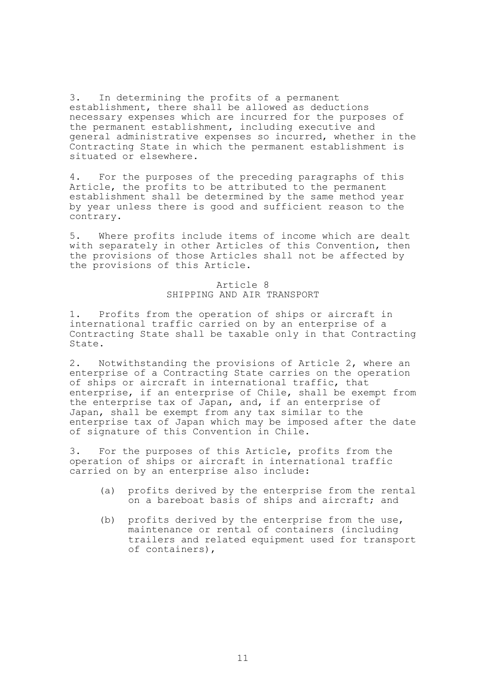3. In determining the profits of a permanent establishment, there shall be allowed as deductions necessary expenses which are incurred for the purposes of the permanent establishment, including executive and general administrative expenses so incurred, whether in the Contracting State in which the permanent establishment is situated or elsewhere.

4. For the purposes of the preceding paragraphs of this Article, the profits to be attributed to the permanent establishment shall be determined by the same method year by year unless there is good and sufficient reason to the contrary.

5. Where profits include items of income which are dealt with separately in other Articles of this Convention, then the provisions of those Articles shall not be affected by the provisions of this Article.

# Article 8 SHIPPING AND AIR TRANSPORT

1. Profits from the operation of ships or aircraft in international traffic carried on by an enterprise of a Contracting State shall be taxable only in that Contracting State.

2. Notwithstanding the provisions of Article 2, where an enterprise of a Contracting State carries on the operation of ships or aircraft in international traffic, that enterprise, if an enterprise of Chile, shall be exempt from the enterprise tax of Japan, and, if an enterprise of Japan, shall be exempt from any tax similar to the enterprise tax of Japan which may be imposed after the date of signature of this Convention in Chile.

3. For the purposes of this Article, profits from the operation of ships or aircraft in international traffic carried on by an enterprise also include:

- (a) profits derived by the enterprise from the rental on a bareboat basis of ships and aircraft; and
- (b) profits derived by the enterprise from the use, maintenance or rental of containers (including trailers and related equipment used for transport of containers),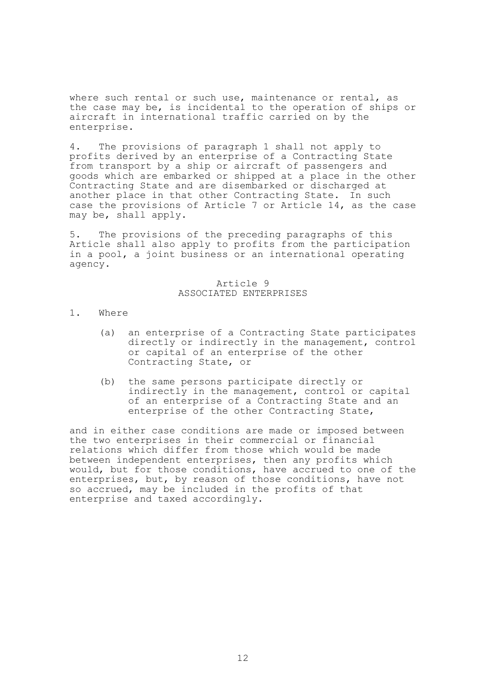where such rental or such use, maintenance or rental, as the case may be, is incidental to the operation of ships or aircraft in international traffic carried on by the enterprise.

4. The provisions of paragraph 1 shall not apply to profits derived by an enterprise of a Contracting State from transport by a ship or aircraft of passengers and goods which are embarked or shipped at a place in the other Contracting State and are disembarked or discharged at another place in that other Contracting State. In such case the provisions of Article 7 or Article 14, as the case may be, shall apply.

5. The provisions of the preceding paragraphs of this Article shall also apply to profits from the participation in a pool, a joint business or an international operating agency.

## Article 9 ASSOCIATED ENTERPRISES

- 1. Where
	- (a) an enterprise of a Contracting State participates directly or indirectly in the management, control or capital of an enterprise of the other Contracting State, or
	- (b) the same persons participate directly or indirectly in the management, control or capital of an enterprise of a Contracting State and an enterprise of the other Contracting State,

and in either case conditions are made or imposed between the two enterprises in their commercial or financial relations which differ from those which would be made between independent enterprises, then any profits which would, but for those conditions, have accrued to one of the enterprises, but, by reason of those conditions, have not so accrued, may be included in the profits of that enterprise and taxed accordingly.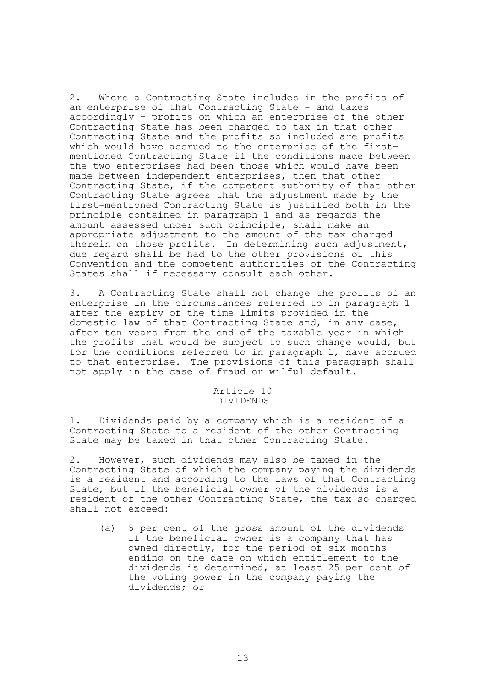2. Where a Contracting State includes in the profits of an enterprise of that Contracting State - and taxes accordingly - profits on which an enterprise of the other Contracting State has been charged to tax in that other Contracting State and the profits so included are profits which would have accrued to the enterprise of the firstmentioned Contracting State if the conditions made between the two enterprises had been those which would have been made between independent enterprises, then that other Contracting State, if the competent authority of that other Contracting State agrees that the adjustment made by the first-mentioned Contracting State is justified both in the principle contained in paragraph 1 and as regards the amount assessed under such principle, shall make an appropriate adjustment to the amount of the tax charged therein on those profits. In determining such adjustment, due regard shall be had to the other provisions of this Convention and the competent authorities of the Contracting States shall if necessary consult each other.

3. A Contracting State shall not change the profits of an enterprise in the circumstances referred to in paragraph 1 after the expiry of the time limits provided in the domestic law of that Contracting State and, in any case, after ten years from the end of the taxable year in which the profits that would be subject to such change would, but for the conditions referred to in paragraph 1, have accrued to that enterprise. The provisions of this paragraph shall not apply in the case of fraud or wilful default.

#### Article 10 DIVIDENDS

1. Dividends paid by a company which is a resident of a Contracting State to a resident of the other Contracting State may be taxed in that other Contracting State.

2. However, such dividends may also be taxed in the Contracting State of which the company paying the dividends is a resident and according to the laws of that Contracting State, but if the beneficial owner of the dividends is a resident of the other Contracting State, the tax so charged shall not exceed:

(a) 5 per cent of the gross amount of the dividends if the beneficial owner is a company that has owned directly, for the period of six months ending on the date on which entitlement to the dividends is determined, at least 25 per cent of the voting power in the company paying the dividends; or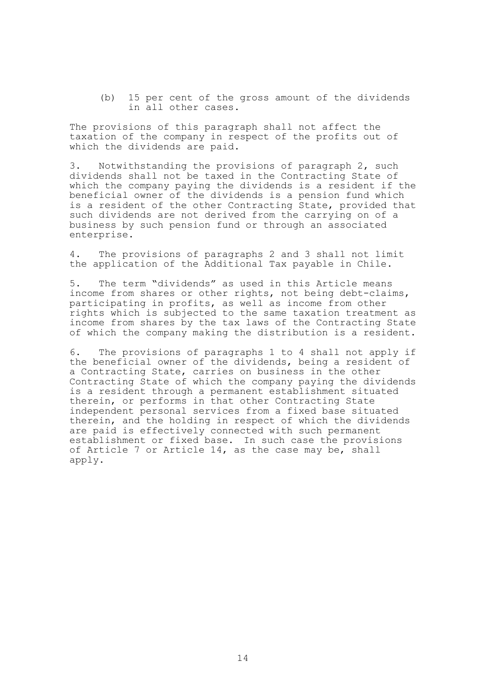(b) 15 per cent of the gross amount of the dividends in all other cases.

The provisions of this paragraph shall not affect the taxation of the company in respect of the profits out of which the dividends are paid.

3. Notwithstanding the provisions of paragraph 2, such dividends shall not be taxed in the Contracting State of which the company paying the dividends is a resident if the beneficial owner of the dividends is a pension fund which is a resident of the other Contracting State, provided that such dividends are not derived from the carrying on of a business by such pension fund or through an associated enterprise.

4. The provisions of paragraphs 2 and 3 shall not limit the application of the Additional Tax payable in Chile.

5. The term "dividends" as used in this Article means income from shares or other rights, not being debt-claims, participating in profits, as well as income from other rights which is subjected to the same taxation treatment as income from shares by the tax laws of the Contracting State of which the company making the distribution is a resident.

6. The provisions of paragraphs 1 to 4 shall not apply if the beneficial owner of the dividends, being a resident of a Contracting State, carries on business in the other Contracting State of which the company paying the dividends is a resident through a permanent establishment situated therein, or performs in that other Contracting State independent personal services from a fixed base situated therein, and the holding in respect of which the dividends are paid is effectively connected with such permanent establishment or fixed base. In such case the provisions of Article 7 or Article 14, as the case may be, shall apply.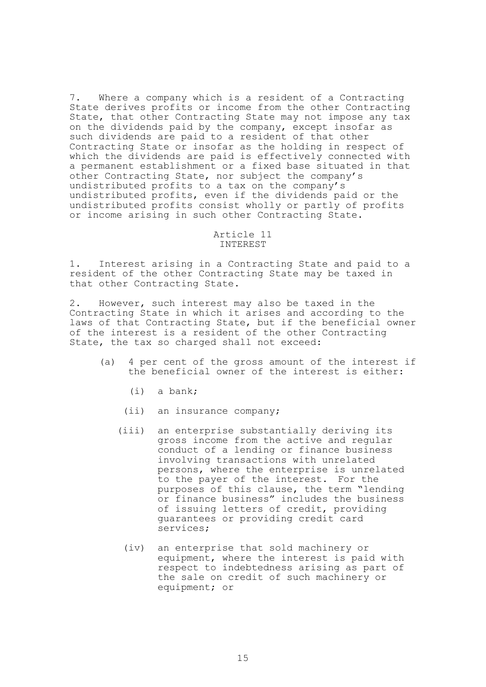7. Where a company which is a resident of a Contracting State derives profits or income from the other Contracting State, that other Contracting State may not impose any tax on the dividends paid by the company, except insofar as such dividends are paid to a resident of that other Contracting State or insofar as the holding in respect of which the dividends are paid is effectively connected with a permanent establishment or a fixed base situated in that other Contracting State, nor subject the company's undistributed profits to a tax on the company's undistributed profits, even if the dividends paid or the undistributed profits consist wholly or partly of profits or income arising in such other Contracting State.

## Article 11 INTEREST

1. Interest arising in a Contracting State and paid to a resident of the other Contracting State may be taxed in that other Contracting State.

2. However, such interest may also be taxed in the Contracting State in which it arises and according to the laws of that Contracting State, but if the beneficial owner of the interest is a resident of the other Contracting State, the tax so charged shall not exceed:

- (a) 4 per cent of the gross amount of the interest if the beneficial owner of the interest is either:
	- (i) a bank;
	- (ii) an insurance company;
	- (iii) an enterprise substantially deriving its gross income from the active and regular conduct of a lending or finance business involving transactions with unrelated persons, where the enterprise is unrelated to the payer of the interest. For the purposes of this clause, the term "lending or finance business" includes the business of issuing letters of credit, providing guarantees or providing credit card services;
		- (iv) an enterprise that sold machinery or equipment, where the interest is paid with respect to indebtedness arising as part of the sale on credit of such machinery or equipment; or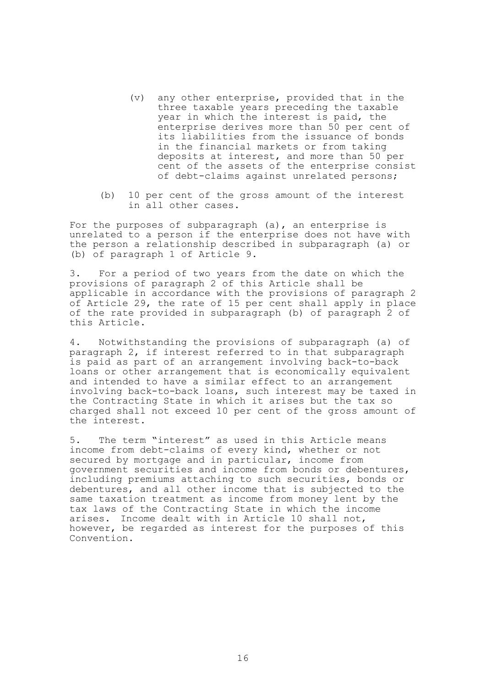- (v) any other enterprise, provided that in the three taxable years preceding the taxable year in which the interest is paid, the enterprise derives more than 50 per cent of its liabilities from the issuance of bonds in the financial markets or from taking deposits at interest, and more than 50 per cent of the assets of the enterprise consist of debt-claims against unrelated persons;
- (b) 10 per cent of the gross amount of the interest in all other cases.

For the purposes of subparagraph (a), an enterprise is unrelated to a person if the enterprise does not have with the person a relationship described in subparagraph (a) or (b) of paragraph 1 of Article 9.

3. For a period of two years from the date on which the provisions of paragraph 2 of this Article shall be applicable in accordance with the provisions of paragraph 2 of Article 29, the rate of 15 per cent shall apply in place of the rate provided in subparagraph (b) of paragraph 2 of this Article.

4. Notwithstanding the provisions of subparagraph (a) of paragraph 2, if interest referred to in that subparagraph is paid as part of an arrangement involving back-to-back loans or other arrangement that is economically equivalent and intended to have a similar effect to an arrangement involving back-to-back loans, such interest may be taxed in the Contracting State in which it arises but the tax so charged shall not exceed 10 per cent of the gross amount of the interest.

5. The term "interest" as used in this Article means income from debt-claims of every kind, whether or not secured by mortgage and in particular, income from government securities and income from bonds or debentures, including premiums attaching to such securities, bonds or debentures, and all other income that is subjected to the same taxation treatment as income from money lent by the tax laws of the Contracting State in which the income arises. Income dealt with in Article 10 shall not, however, be regarded as interest for the purposes of this Convention.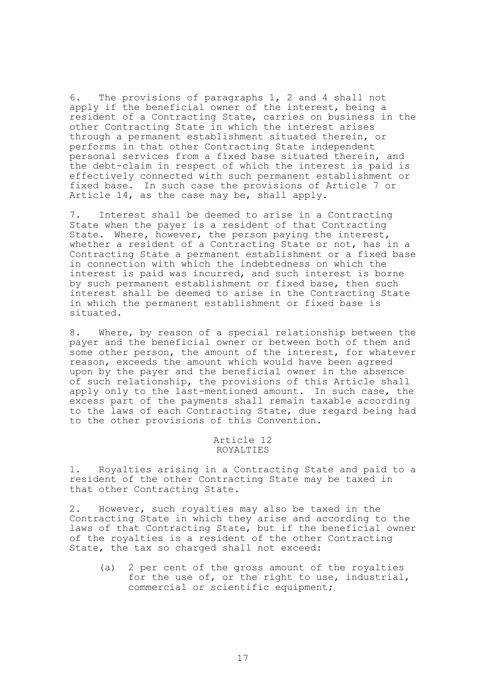6. The provisions of paragraphs 1, 2 and 4 shall not apply if the beneficial owner of the interest, being a resident of a Contracting State, carries on business in the other Contracting State in which the interest arises through a permanent establishment situated therein, or performs in that other Contracting State independent personal services from a fixed base situated therein, and the debt-claim in respect of which the interest is paid is effectively connected with such permanent establishment or fixed base. In such case the provisions of Article 7 or Article 14, as the case may be, shall apply.

7. Interest shall be deemed to arise in a Contracting State when the payer is a resident of that Contracting State. Where, however, the person paying the interest, whether a resident of a Contracting State or not, has in a Contracting State a permanent establishment or a fixed base in connection with which the indebtedness on which the interest is paid was incurred, and such interest is borne by such permanent establishment or fixed base, then such interest shall be deemed to arise in the Contracting State in which the permanent establishment or fixed base is situated.

8. Where, by reason of a special relationship between the payer and the beneficial owner or between both of them and some other person, the amount of the interest, for whatever reason, exceeds the amount which would have been agreed upon by the payer and the beneficial owner in the absence of such relationship, the provisions of this Article shall apply only to the last-mentioned amount. In such case, the excess part of the payments shall remain taxable according to the laws of each Contracting State, due regard being had to the other provisions of this Convention.

### Article 12 ROYALTIES

1. Royalties arising in a Contracting State and paid to a resident of the other Contracting State may be taxed in that other Contracting State.

2. However, such royalties may also be taxed in the Contracting State in which they arise and according to the laws of that Contracting State, but if the beneficial owner of the royalties is a resident of the other Contracting State, the tax so charged shall not exceed:

(a) 2 per cent of the gross amount of the royalties for the use of, or the right to use, industrial, commercial or scientific equipment;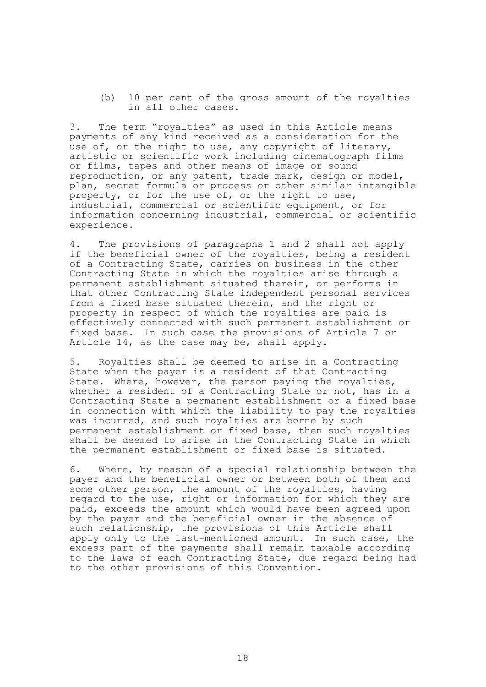(b) 10 per cent of the gross amount of the royalties in all other cases.

3. The term "royalties" as used in this Article means payments of any kind received as a consideration for the use of, or the right to use, any copyright of literary, artistic or scientific work including cinematograph films or films, tapes and other means of image or sound reproduction, or any patent, trade mark, design or model, plan, secret formula or process or other similar intangible property, or for the use of, or the right to use, industrial, commercial or scientific equipment, or for information concerning industrial, commercial or scientific experience.

4. The provisions of paragraphs 1 and 2 shall not apply if the beneficial owner of the royalties, being a resident of a Contracting State, carries on business in the other Contracting State in which the royalties arise through a permanent establishment situated therein, or performs in that other Contracting State independent personal services from a fixed base situated therein, and the right or property in respect of which the royalties are paid is effectively connected with such permanent establishment or fixed base. In such case the provisions of Article 7 or Article 14, as the case may be, shall apply.

5. Royalties shall be deemed to arise in a Contracting State when the payer is a resident of that Contracting State. Where, however, the person paying the royalties, whether a resident of a Contracting State or not, has in a Contracting State a permanent establishment or a fixed base in connection with which the liability to pay the royalties was incurred, and such royalties are borne by such permanent establishment or fixed base, then such royalties shall be deemed to arise in the Contracting State in which the permanent establishment or fixed base is situated.

6. Where, by reason of a special relationship between the payer and the beneficial owner or between both of them and some other person, the amount of the royalties, having regard to the use, right or information for which they are paid, exceeds the amount which would have been agreed upon by the payer and the beneficial owner in the absence of such relationship, the provisions of this Article shall apply only to the last-mentioned amount. In such case, the excess part of the payments shall remain taxable according to the laws of each Contracting State, due regard being had to the other provisions of this Convention.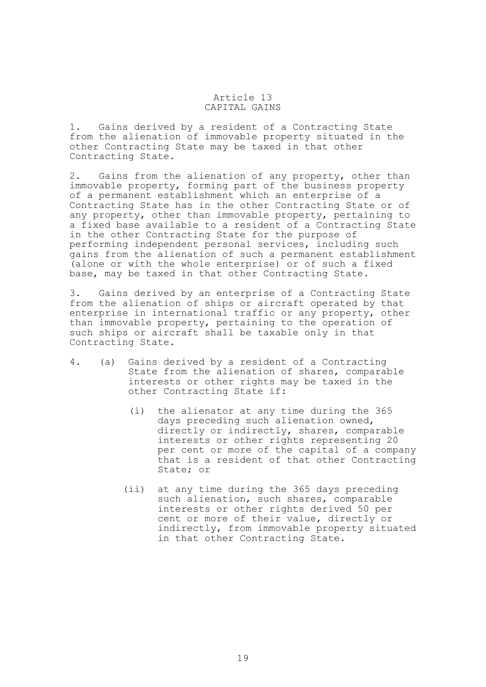## Article 13 CAPITAL GAINS

1. Gains derived by a resident of a Contracting State from the alienation of immovable property situated in the other Contracting State may be taxed in that other Contracting State.

2. Gains from the alienation of any property, other than immovable property, forming part of the business property of a permanent establishment which an enterprise of a Contracting State has in the other Contracting State or of any property, other than immovable property, pertaining to a fixed base available to a resident of a Contracting State in the other Contracting State for the purpose of performing independent personal services, including such gains from the alienation of such a permanent establishment (alone or with the whole enterprise) or of such a fixed base, may be taxed in that other Contracting State.

3. Gains derived by an enterprise of a Contracting State from the alienation of ships or aircraft operated by that enterprise in international traffic or any property, other than immovable property, pertaining to the operation of such ships or aircraft shall be taxable only in that Contracting State.

- 4. (a) Gains derived by a resident of a Contracting State from the alienation of shares, comparable interests or other rights may be taxed in the other Contracting State if:
	- (i) the alienator at any time during the 365 days preceding such alienation owned, directly or indirectly, shares, comparable interests or other rights representing 20 per cent or more of the capital of a company that is a resident of that other Contracting State; or
	- (ii) at any time during the 365 days preceding such alienation, such shares, comparable interests or other rights derived 50 per cent or more of their value, directly or indirectly, from immovable property situated in that other Contracting State.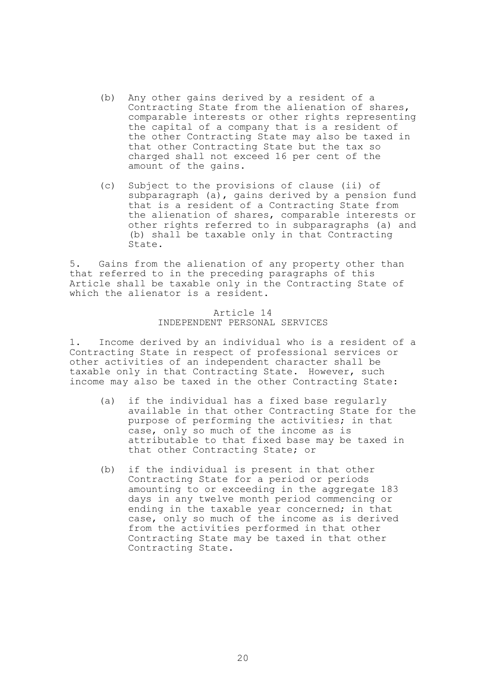- (b) Any other gains derived by a resident of a Contracting State from the alienation of shares, comparable interests or other rights representing the capital of a company that is a resident of the other Contracting State may also be taxed in that other Contracting State but the tax so charged shall not exceed 16 per cent of the amount of the gains.
- (c) Subject to the provisions of clause (ii) of subparagraph (a), gains derived by a pension fund that is a resident of a Contracting State from the alienation of shares, comparable interests or other rights referred to in subparagraphs (a) and (b) shall be taxable only in that Contracting State.

5. Gains from the alienation of any property other than that referred to in the preceding paragraphs of this Article shall be taxable only in the Contracting State of which the alienator is a resident.

## Article 14 INDEPENDENT PERSONAL SERVICES

1. Income derived by an individual who is a resident of a Contracting State in respect of professional services or other activities of an independent character shall be taxable only in that Contracting State. However, such income may also be taxed in the other Contracting State:

- (a) if the individual has a fixed base regularly available in that other Contracting State for the purpose of performing the activities; in that case, only so much of the income as is attributable to that fixed base may be taxed in that other Contracting State; or
- (b) if the individual is present in that other Contracting State for a period or periods amounting to or exceeding in the aggregate 183 days in any twelve month period commencing or ending in the taxable year concerned; in that case, only so much of the income as is derived from the activities performed in that other Contracting State may be taxed in that other Contracting State.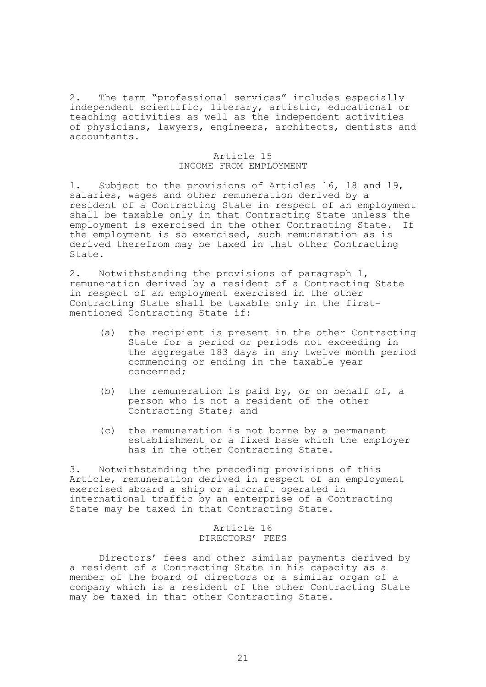2. The term "professional services" includes especially independent scientific, literary, artistic, educational or teaching activities as well as the independent activities of physicians, lawyers, engineers, architects, dentists and accountants.

## Article 15 INCOME FROM EMPLOYMENT

1. Subject to the provisions of Articles 16, 18 and 19, salaries, wages and other remuneration derived by a resident of a Contracting State in respect of an employment shall be taxable only in that Contracting State unless the employment is exercised in the other Contracting State. If the employment is so exercised, such remuneration as is derived therefrom may be taxed in that other Contracting State.

2. Notwithstanding the provisions of paragraph 1, remuneration derived by a resident of a Contracting State in respect of an employment exercised in the other Contracting State shall be taxable only in the firstmentioned Contracting State if:

- (a) the recipient is present in the other Contracting State for a period or periods not exceeding in the aggregate 183 days in any twelve month period commencing or ending in the taxable year concerned;
- (b) the remuneration is paid by, or on behalf of, a person who is not a resident of the other Contracting State; and
- (c) the remuneration is not borne by a permanent establishment or a fixed base which the employer has in the other Contracting State.

3. Notwithstanding the preceding provisions of this Article, remuneration derived in respect of an employment exercised aboard a ship or aircraft operated in international traffic by an enterprise of a Contracting State may be taxed in that Contracting State.

#### Article 16 DIRECTORS' FEES

Directors' fees and other similar payments derived by a resident of a Contracting State in his capacity as a member of the board of directors or a similar organ of a company which is a resident of the other Contracting State may be taxed in that other Contracting State.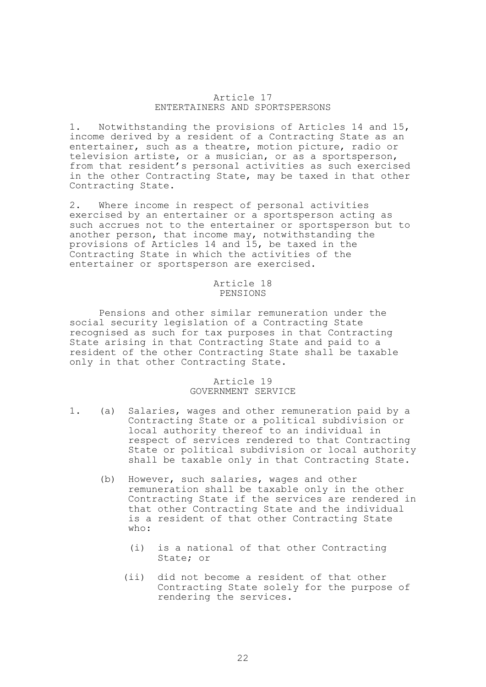## Article 17 ENTERTAINERS AND SPORTSPERSONS

1. Notwithstanding the provisions of Articles 14 and 15, income derived by a resident of a Contracting State as an entertainer, such as a theatre, motion picture, radio or television artiste, or a musician, or as a sportsperson, from that resident's personal activities as such exercised in the other Contracting State, may be taxed in that other Contracting State.

2. Where income in respect of personal activities exercised by an entertainer or a sportsperson acting as such accrues not to the entertainer or sportsperson but to another person, that income may, notwithstanding the provisions of Articles 14 and 15, be taxed in the Contracting State in which the activities of the entertainer or sportsperson are exercised.

#### Article 18 PENSIONS

Pensions and other similar remuneration under the social security legislation of a Contracting State recognised as such for tax purposes in that Contracting State arising in that Contracting State and paid to a resident of the other Contracting State shall be taxable only in that other Contracting State.

### Article 19 GOVERNMENT SERVICE

- 1. (a) Salaries, wages and other remuneration paid by a Contracting State or a political subdivision or local authority thereof to an individual in respect of services rendered to that Contracting State or political subdivision or local authority shall be taxable only in that Contracting State.
	- (b) However, such salaries, wages and other remuneration shall be taxable only in the other Contracting State if the services are rendered in that other Contracting State and the individual is a resident of that other Contracting State who:
		- (i) is a national of that other Contracting State; or
		- (ii) did not become a resident of that other Contracting State solely for the purpose of rendering the services.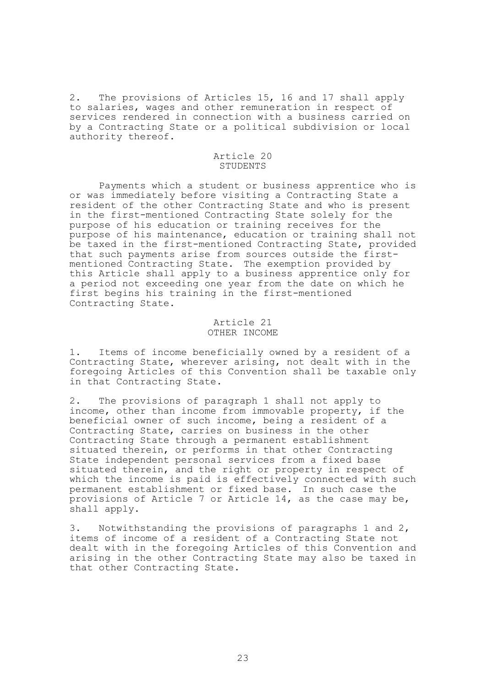2. The provisions of Articles 15, 16 and 17 shall apply to salaries, wages and other remuneration in respect of services rendered in connection with a business carried on by a Contracting State or a political subdivision or local authority thereof.

## Article 20 STUDENTS

Payments which a student or business apprentice who is or was immediately before visiting a Contracting State a resident of the other Contracting State and who is present in the first-mentioned Contracting State solely for the purpose of his education or training receives for the purpose of his maintenance, education or training shall not be taxed in the first-mentioned Contracting State, provided that such payments arise from sources outside the firstmentioned Contracting State. The exemption provided by this Article shall apply to a business apprentice only for a period not exceeding one year from the date on which he first begins his training in the first-mentioned Contracting State.

## Article 21 OTHER INCOME

1. Items of income beneficially owned by a resident of a Contracting State, wherever arising, not dealt with in the foregoing Articles of this Convention shall be taxable only in that Contracting State.

2. The provisions of paragraph 1 shall not apply to income, other than income from immovable property, if the beneficial owner of such income, being a resident of a Contracting State, carries on business in the other Contracting State through a permanent establishment situated therein, or performs in that other Contracting State independent personal services from a fixed base situated therein, and the right or property in respect of which the income is paid is effectively connected with such permanent establishment or fixed base. In such case the provisions of Article 7 or Article 14, as the case may be, shall apply.

3. Notwithstanding the provisions of paragraphs 1 and 2, items of income of a resident of a Contracting State not dealt with in the foregoing Articles of this Convention and arising in the other Contracting State may also be taxed in that other Contracting State.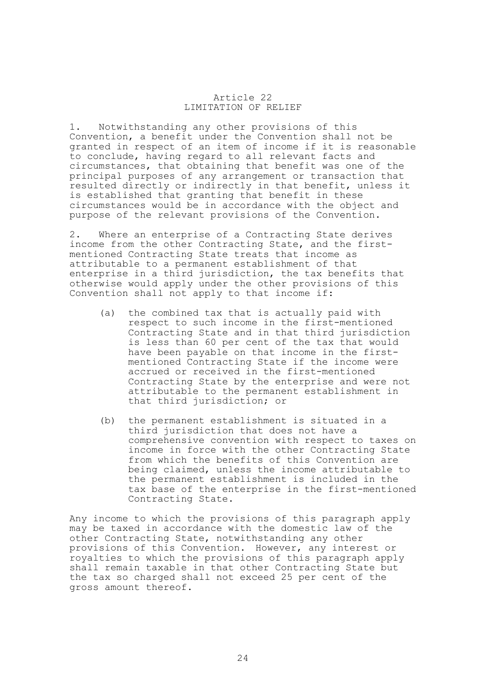### Article 22 LIMITATION OF RELIEF

1. Notwithstanding any other provisions of this Convention, a benefit under the Convention shall not be granted in respect of an item of income if it is reasonable to conclude, having regard to all relevant facts and circumstances, that obtaining that benefit was one of the principal purposes of any arrangement or transaction that resulted directly or indirectly in that benefit, unless it is established that granting that benefit in these circumstances would be in accordance with the object and purpose of the relevant provisions of the Convention.

2. Where an enterprise of a Contracting State derives income from the other Contracting State, and the firstmentioned Contracting State treats that income as attributable to a permanent establishment of that enterprise in a third jurisdiction, the tax benefits that otherwise would apply under the other provisions of this Convention shall not apply to that income if:

- (a) the combined tax that is actually paid with respect to such income in the first-mentioned Contracting State and in that third jurisdiction is less than 60 per cent of the tax that would have been payable on that income in the firstmentioned Contracting State if the income were accrued or received in the first-mentioned Contracting State by the enterprise and were not attributable to the permanent establishment in that third jurisdiction; or
- (b) the permanent establishment is situated in a third jurisdiction that does not have a comprehensive convention with respect to taxes on income in force with the other Contracting State from which the benefits of this Convention are being claimed, unless the income attributable to the permanent establishment is included in the tax base of the enterprise in the first-mentioned Contracting State.

Any income to which the provisions of this paragraph apply may be taxed in accordance with the domestic law of the other Contracting State, notwithstanding any other provisions of this Convention. However, any interest or royalties to which the provisions of this paragraph apply shall remain taxable in that other Contracting State but the tax so charged shall not exceed 25 per cent of the gross amount thereof.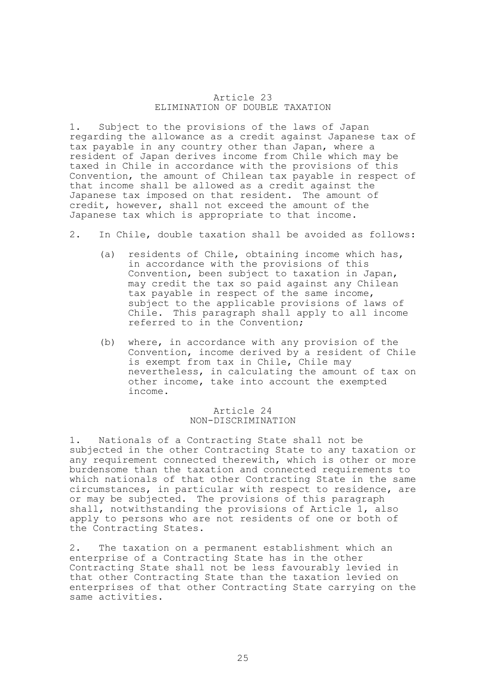### Article 23 ELIMINATION OF DOUBLE TAXATION

1. Subject to the provisions of the laws of Japan regarding the allowance as a credit against Japanese tax of tax payable in any country other than Japan, where a resident of Japan derives income from Chile which may be taxed in Chile in accordance with the provisions of this Convention, the amount of Chilean tax payable in respect of that income shall be allowed as a credit against the Japanese tax imposed on that resident. The amount of credit, however, shall not exceed the amount of the Japanese tax which is appropriate to that income.

- 2. In Chile, double taxation shall be avoided as follows:
	- (a) residents of Chile, obtaining income which has, in accordance with the provisions of this Convention, been subject to taxation in Japan, may credit the tax so paid against any Chilean tax payable in respect of the same income, subject to the applicable provisions of laws of Chile. This paragraph shall apply to all income referred to in the Convention;
	- (b) where, in accordance with any provision of the Convention, income derived by a resident of Chile is exempt from tax in Chile, Chile may nevertheless, in calculating the amount of tax on other income, take into account the exempted income.

## Article 24 NON-DISCRIMINATION

1. Nationals of a Contracting State shall not be subjected in the other Contracting State to any taxation or any requirement connected therewith, which is other or more burdensome than the taxation and connected requirements to which nationals of that other Contracting State in the same circumstances, in particular with respect to residence, are or may be subjected. The provisions of this paragraph shall, notwithstanding the provisions of Article 1, also apply to persons who are not residents of one or both of the Contracting States.

2. The taxation on a permanent establishment which an enterprise of a Contracting State has in the other Contracting State shall not be less favourably levied in that other Contracting State than the taxation levied on enterprises of that other Contracting State carrying on the same activities.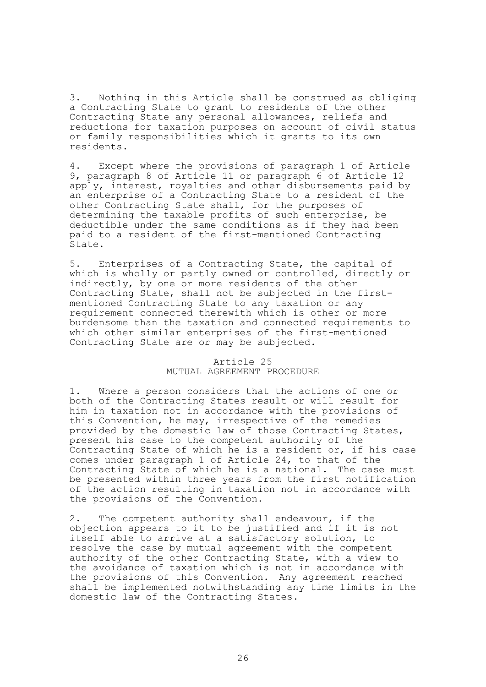3. Nothing in this Article shall be construed as obliging a Contracting State to grant to residents of the other Contracting State any personal allowances, reliefs and reductions for taxation purposes on account of civil status or family responsibilities which it grants to its own residents.

4. Except where the provisions of paragraph 1 of Article 9, paragraph 8 of Article 11 or paragraph 6 of Article 12 apply, interest, royalties and other disbursements paid by an enterprise of a Contracting State to a resident of the other Contracting State shall, for the purposes of determining the taxable profits of such enterprise, be deductible under the same conditions as if they had been paid to a resident of the first-mentioned Contracting State.

5. Enterprises of a Contracting State, the capital of which is wholly or partly owned or controlled, directly or indirectly, by one or more residents of the other Contracting State, shall not be subjected in the firstmentioned Contracting State to any taxation or any requirement connected therewith which is other or more burdensome than the taxation and connected requirements to which other similar enterprises of the first-mentioned Contracting State are or may be subjected.

## Article 25 MUTUAL AGREEMENT PROCEDURE

1. Where a person considers that the actions of one or both of the Contracting States result or will result for him in taxation not in accordance with the provisions of this Convention, he may, irrespective of the remedies provided by the domestic law of those Contracting States, present his case to the competent authority of the Contracting State of which he is a resident or, if his case comes under paragraph 1 of Article 24, to that of the Contracting State of which he is a national. The case must be presented within three years from the first notification of the action resulting in taxation not in accordance with the provisions of the Convention.

2. The competent authority shall endeavour, if the objection appears to it to be justified and if it is not itself able to arrive at a satisfactory solution, to resolve the case by mutual agreement with the competent authority of the other Contracting State, with a view to the avoidance of taxation which is not in accordance with the provisions of this Convention. Any agreement reached shall be implemented notwithstanding any time limits in the domestic law of the Contracting States.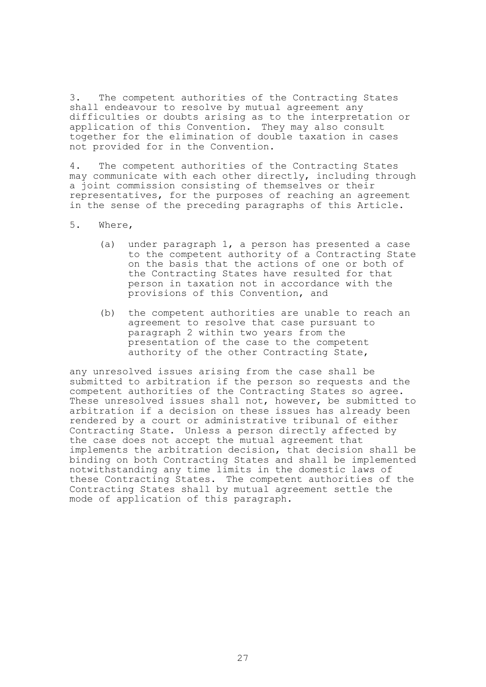3. The competent authorities of the Contracting States shall endeavour to resolve by mutual agreement any difficulties or doubts arising as to the interpretation or application of this Convention. They may also consult together for the elimination of double taxation in cases not provided for in the Convention.

4. The competent authorities of the Contracting States may communicate with each other directly, including through a joint commission consisting of themselves or their representatives, for the purposes of reaching an agreement in the sense of the preceding paragraphs of this Article.

- 5. Where,
	- (a) under paragraph 1, a person has presented a case to the competent authority of a Contracting State on the basis that the actions of one or both of the Contracting States have resulted for that person in taxation not in accordance with the provisions of this Convention, and
	- (b) the competent authorities are unable to reach an agreement to resolve that case pursuant to paragraph 2 within two years from the presentation of the case to the competent authority of the other Contracting State,

any unresolved issues arising from the case shall be submitted to arbitration if the person so requests and the competent authorities of the Contracting States so agree. These unresolved issues shall not, however, be submitted to arbitration if a decision on these issues has already been rendered by a court or administrative tribunal of either Contracting State. Unless a person directly affected by the case does not accept the mutual agreement that implements the arbitration decision, that decision shall be binding on both Contracting States and shall be implemented notwithstanding any time limits in the domestic laws of these Contracting States. The competent authorities of the Contracting States shall by mutual agreement settle the mode of application of this paragraph.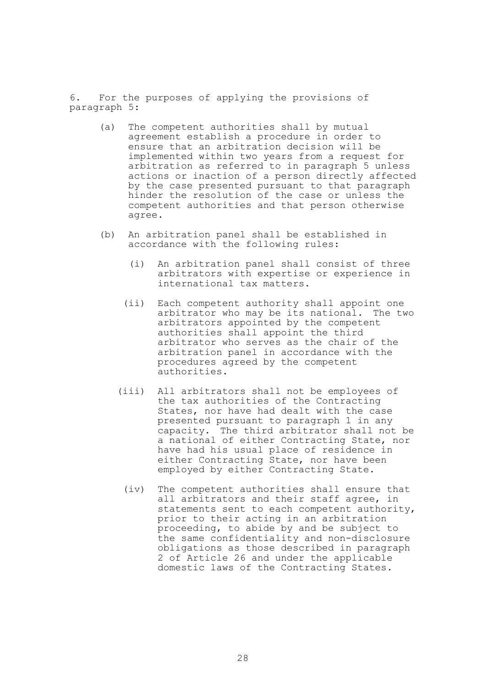6. For the purposes of applying the provisions of paragraph 5:

- (a) The competent authorities shall by mutual agreement establish a procedure in order to ensure that an arbitration decision will be implemented within two years from a request for arbitration as referred to in paragraph 5 unless actions or inaction of a person directly affected by the case presented pursuant to that paragraph hinder the resolution of the case or unless the competent authorities and that person otherwise agree.
- (b) An arbitration panel shall be established in accordance with the following rules:
	- (i) An arbitration panel shall consist of three arbitrators with expertise or experience in international tax matters.
	- (ii) Each competent authority shall appoint one arbitrator who may be its national. The two arbitrators appointed by the competent authorities shall appoint the third arbitrator who serves as the chair of the arbitration panel in accordance with the procedures agreed by the competent authorities.
	- (iii) All arbitrators shall not be employees of the tax authorities of the Contracting States, nor have had dealt with the case presented pursuant to paragraph 1 in any capacity. The third arbitrator shall not be a national of either Contracting State, nor have had his usual place of residence in either Contracting State, nor have been employed by either Contracting State.
		- (iv) The competent authorities shall ensure that all arbitrators and their staff agree, in statements sent to each competent authority, prior to their acting in an arbitration proceeding, to abide by and be subject to the same confidentiality and non-disclosure obligations as those described in paragraph 2 of Article 26 and under the applicable domestic laws of the Contracting States.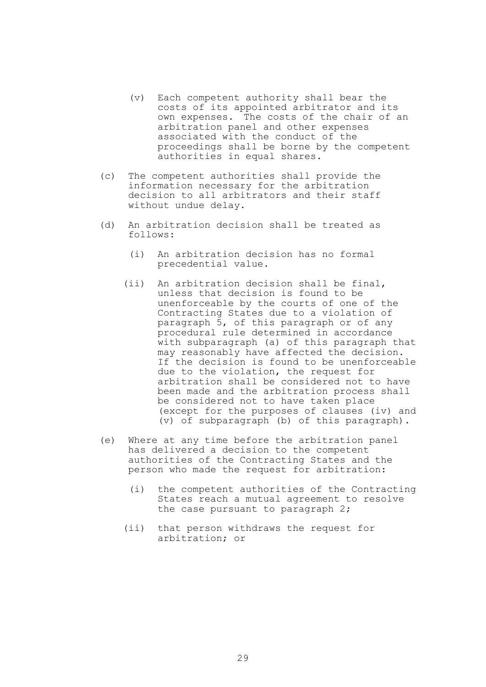- (v) Each competent authority shall bear the costs of its appointed arbitrator and its own expenses. The costs of the chair of an arbitration panel and other expenses associated with the conduct of the proceedings shall be borne by the competent authorities in equal shares.
- (c) The competent authorities shall provide the information necessary for the arbitration decision to all arbitrators and their staff without undue delay.
- (d) An arbitration decision shall be treated as follows:
	- (i) An arbitration decision has no formal precedential value.
	- (ii) An arbitration decision shall be final, unless that decision is found to be unenforceable by the courts of one of the Contracting States due to a violation of paragraph 5, of this paragraph or of any procedural rule determined in accordance with subparagraph (a) of this paragraph that may reasonably have affected the decision. If the decision is found to be unenforceable due to the violation, the request for arbitration shall be considered not to have been made and the arbitration process shall be considered not to have taken place (except for the purposes of clauses (iv) and (v) of subparagraph (b) of this paragraph).
- (e) Where at any time before the arbitration panel has delivered a decision to the competent authorities of the Contracting States and the person who made the request for arbitration:
	- (i) the competent authorities of the Contracting States reach a mutual agreement to resolve the case pursuant to paragraph 2;
	- (ii) that person withdraws the request for arbitration; or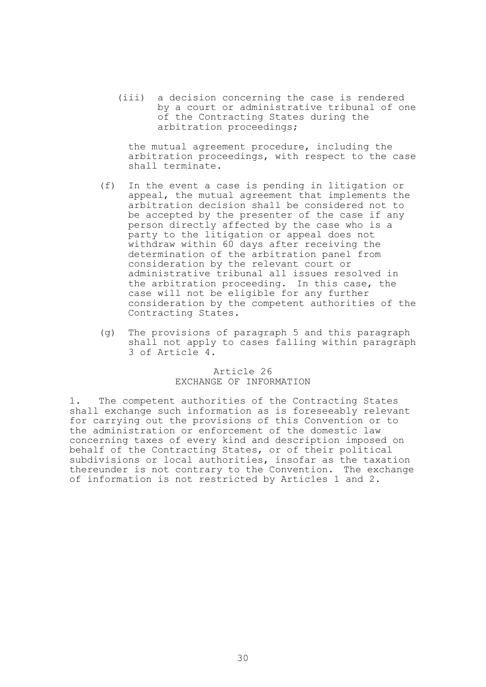(iii) a decision concerning the case is rendered by a court or administrative tribunal of one of the Contracting States during the arbitration proceedings;

the mutual agreement procedure, including the arbitration proceedings, with respect to the case shall terminate.

- (f) In the event a case is pending in litigation or appeal, the mutual agreement that implements the arbitration decision shall be considered not to be accepted by the presenter of the case if any person directly affected by the case who is a party to the litigation or appeal does not withdraw within 60 days after receiving the determination of the arbitration panel from consideration by the relevant court or administrative tribunal all issues resolved in the arbitration proceeding. In this case, the case will not be eligible for any further consideration by the competent authorities of the Contracting States.
- (g) The provisions of paragraph 5 and this paragraph shall not apply to cases falling within paragraph 3 of Article 4.

## Article 26 EXCHANGE OF INFORMATION

1. The competent authorities of the Contracting States shall exchange such information as is foreseeably relevant for carrying out the provisions of this Convention or to the administration or enforcement of the domestic law concerning taxes of every kind and description imposed on behalf of the Contracting States, or of their political subdivisions or local authorities, insofar as the taxation thereunder is not contrary to the Convention. The exchange of information is not restricted by Articles 1 and 2.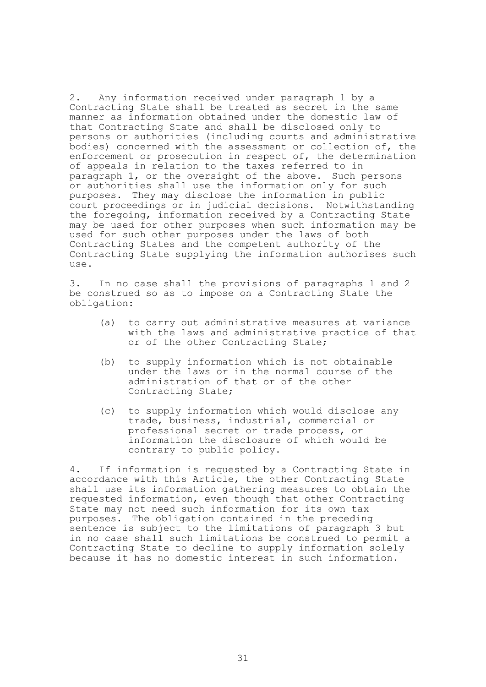2. Any information received under paragraph 1 by a Contracting State shall be treated as secret in the same manner as information obtained under the domestic law of that Contracting State and shall be disclosed only to persons or authorities (including courts and administrative bodies) concerned with the assessment or collection of, the enforcement or prosecution in respect of, the determination of appeals in relation to the taxes referred to in paragraph 1, or the oversight of the above. Such persons or authorities shall use the information only for such purposes. They may disclose the information in public court proceedings or in judicial decisions. Notwithstanding the foregoing, information received by a Contracting State may be used for other purposes when such information may be used for such other purposes under the laws of both Contracting States and the competent authority of the Contracting State supplying the information authorises such use.

3. In no case shall the provisions of paragraphs 1 and 2 be construed so as to impose on a Contracting State the obligation:

- (a) to carry out administrative measures at variance with the laws and administrative practice of that or of the other Contracting State;
- (b) to supply information which is not obtainable under the laws or in the normal course of the administration of that or of the other Contracting State;
- (c) to supply information which would disclose any trade, business, industrial, commercial or professional secret or trade process, or information the disclosure of which would be contrary to public policy.

4. If information is requested by a Contracting State in accordance with this Article, the other Contracting State shall use its information gathering measures to obtain the requested information, even though that other Contracting State may not need such information for its own tax purposes. The obligation contained in the preceding sentence is subject to the limitations of paragraph 3 but in no case shall such limitations be construed to permit a Contracting State to decline to supply information solely because it has no domestic interest in such information.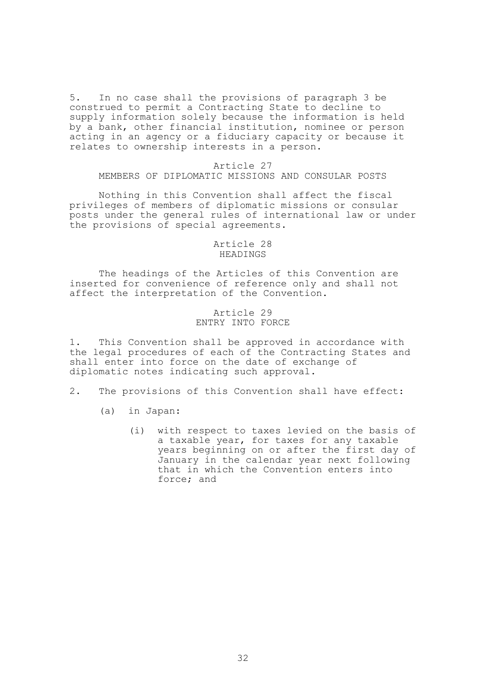5. In no case shall the provisions of paragraph 3 be construed to permit a Contracting State to decline to supply information solely because the information is held by a bank, other financial institution, nominee or person acting in an agency or a fiduciary capacity or because it relates to ownership interests in a person.

#### Article 27

# MEMBERS OF DIPLOMATIC MISSIONS AND CONSULAR POSTS

Nothing in this Convention shall affect the fiscal privileges of members of diplomatic missions or consular posts under the general rules of international law or under the provisions of special agreements.

#### Article 28 HEADINGS

The headings of the Articles of this Convention are inserted for convenience of reference only and shall not affect the interpretation of the Convention.

### Article 29 ENTRY INTO FORCE

1. This Convention shall be approved in accordance with the legal procedures of each of the Contracting States and shall enter into force on the date of exchange of diplomatic notes indicating such approval.

- 2. The provisions of this Convention shall have effect:
	- (a) in Japan:
		- (i) with respect to taxes levied on the basis of a taxable year, for taxes for any taxable years beginning on or after the first day of January in the calendar year next following that in which the Convention enters into force; and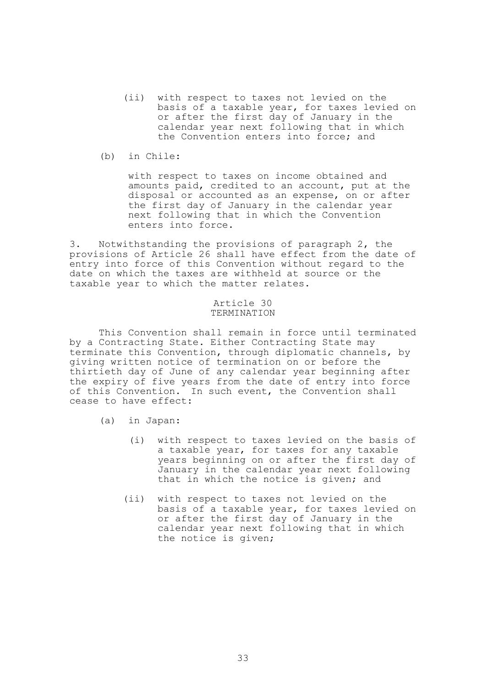- (ii) with respect to taxes not levied on the basis of a taxable year, for taxes levied on or after the first day of January in the calendar year next following that in which the Convention enters into force; and
- (b) in Chile:

with respect to taxes on income obtained and amounts paid, credited to an account, put at the disposal or accounted as an expense, on or after the first day of January in the calendar year next following that in which the Convention enters into force.

3. Notwithstanding the provisions of paragraph 2, the provisions of Article 26 shall have effect from the date of entry into force of this Convention without regard to the date on which the taxes are withheld at source or the taxable year to which the matter relates.

## Article 30 TERMINATION

This Convention shall remain in force until terminated by a Contracting State. Either Contracting State may terminate this Convention, through diplomatic channels, by giving written notice of termination on or before the thirtieth day of June of any calendar year beginning after the expiry of five years from the date of entry into force of this Convention. In such event, the Convention shall cease to have effect:

- (a) in Japan:
	- (i) with respect to taxes levied on the basis of a taxable year, for taxes for any taxable years beginning on or after the first day of January in the calendar year next following that in which the notice is given; and
	- (ii) with respect to taxes not levied on the basis of a taxable year, for taxes levied on or after the first day of January in the calendar year next following that in which the notice is given;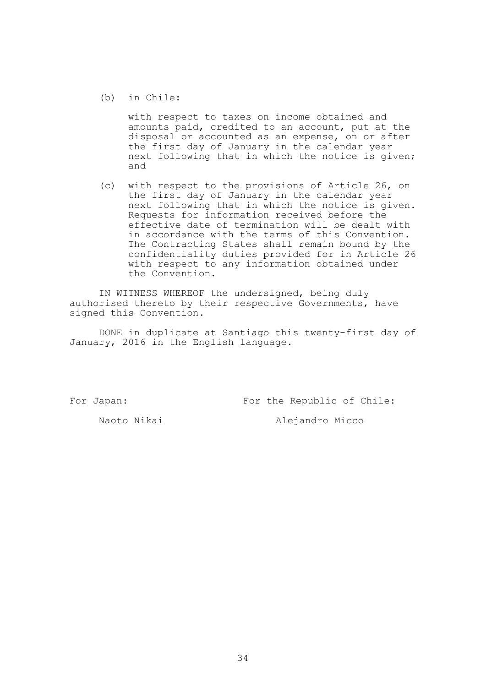## (b) in Chile:

with respect to taxes on income obtained and amounts paid, credited to an account, put at the disposal or accounted as an expense, on or after the first day of January in the calendar year next following that in which the notice is given; and

(c) with respect to the provisions of Article 26, on the first day of January in the calendar year next following that in which the notice is given. Requests for information received before the effective date of termination will be dealt with in accordance with the terms of this Convention. The Contracting States shall remain bound by the confidentiality duties provided for in Article 26 with respect to any information obtained under the Convention.

IN WITNESS WHEREOF the undersigned, being duly authorised thereto by their respective Governments, have signed this Convention.

DONE in duplicate at Santiago this twenty-first day of January, 2016 in the English language.

For Japan: For the Republic of Chile:

Naoto Nikai **Micco** Alejandro Micco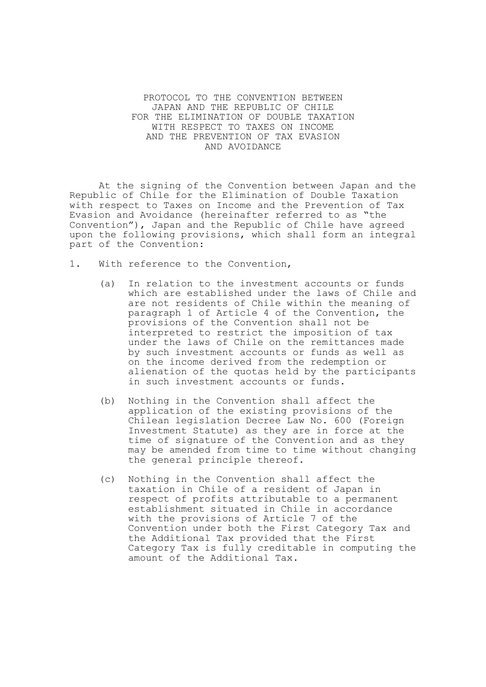## PROTOCOL TO THE CONVENTION BETWEEN JAPAN AND THE REPUBLIC OF CHILE FOR THE ELIMINATION OF DOUBLE TAXATION WITH RESPECT TO TAXES ON INCOME AND THE PREVENTION OF TAX EVASION AND AVOIDANCE

At the signing of the Convention between Japan and the Republic of Chile for the Elimination of Double Taxation with respect to Taxes on Income and the Prevention of Tax Evasion and Avoidance (hereinafter referred to as "the Convention"), Japan and the Republic of Chile have agreed upon the following provisions, which shall form an integral part of the Convention:

- 1. With reference to the Convention,
	- (a) In relation to the investment accounts or funds which are established under the laws of Chile and are not residents of Chile within the meaning of paragraph 1 of Article 4 of the Convention, the provisions of the Convention shall not be interpreted to restrict the imposition of tax under the laws of Chile on the remittances made by such investment accounts or funds as well as on the income derived from the redemption or alienation of the quotas held by the participants in such investment accounts or funds.
	- (b) Nothing in the Convention shall affect the application of the existing provisions of the Chilean legislation Decree Law No. 600 (Foreign Investment Statute) as they are in force at the time of signature of the Convention and as they may be amended from time to time without changing the general principle thereof.
	- (c) Nothing in the Convention shall affect the taxation in Chile of a resident of Japan in respect of profits attributable to a permanent establishment situated in Chile in accordance with the provisions of Article 7 of the Convention under both the First Category Tax and the Additional Tax provided that the First Category Tax is fully creditable in computing the amount of the Additional Tax.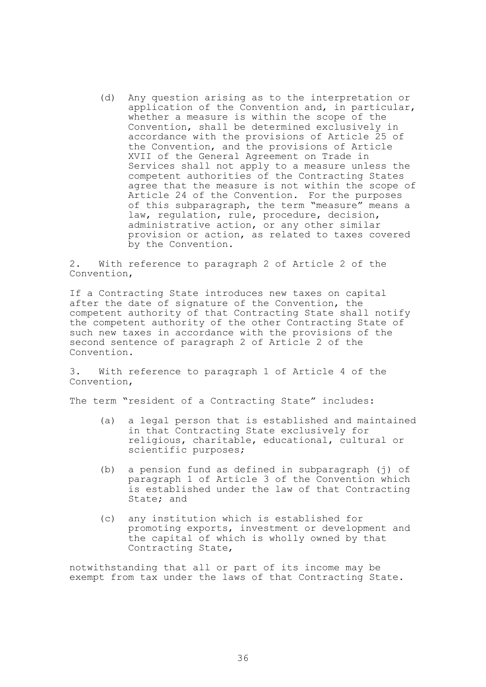(d) Any question arising as to the interpretation or application of the Convention and, in particular, whether a measure is within the scope of the Convention, shall be determined exclusively in accordance with the provisions of Article 25 of the Convention, and the provisions of Article XVII of the General Agreement on Trade in Services shall not apply to a measure unless the competent authorities of the Contracting States agree that the measure is not within the scope of Article 24 of the Convention. For the purposes of this subparagraph, the term "measure" means a law, regulation, rule, procedure, decision, administrative action, or any other similar provision or action, as related to taxes covered by the Convention.

2. With reference to paragraph 2 of Article 2 of the Convention,

If a Contracting State introduces new taxes on capital after the date of signature of the Convention, the competent authority of that Contracting State shall notify the competent authority of the other Contracting State of such new taxes in accordance with the provisions of the second sentence of paragraph 2 of Article 2 of the Convention.

3. With reference to paragraph 1 of Article 4 of the Convention,

The term "resident of a Contracting State" includes:

- (a) a legal person that is established and maintained in that Contracting State exclusively for religious, charitable, educational, cultural or scientific purposes;
- (b) a pension fund as defined in subparagraph (j) of paragraph 1 of Article 3 of the Convention which is established under the law of that Contracting State; and
- (c) any institution which is established for promoting exports, investment or development and the capital of which is wholly owned by that Contracting State,

notwithstanding that all or part of its income may be exempt from tax under the laws of that Contracting State.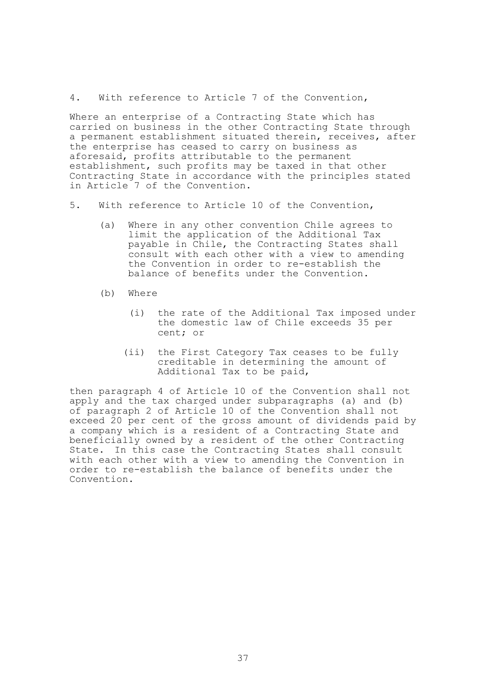## 4. With reference to Article 7 of the Convention,

Where an enterprise of a Contracting State which has carried on business in the other Contracting State through a permanent establishment situated therein, receives, after the enterprise has ceased to carry on business as aforesaid, profits attributable to the permanent establishment, such profits may be taxed in that other Contracting State in accordance with the principles stated in Article 7 of the Convention.

- 5. With reference to Article 10 of the Convention,
	- (a) Where in any other convention Chile agrees to limit the application of the Additional Tax payable in Chile, the Contracting States shall consult with each other with a view to amending the Convention in order to re-establish the balance of benefits under the Convention.
	- (b) Where
		- (i) the rate of the Additional Tax imposed under the domestic law of Chile exceeds 35 per cent; or
		- (ii) the First Category Tax ceases to be fully creditable in determining the amount of Additional Tax to be paid,

then paragraph 4 of Article 10 of the Convention shall not apply and the tax charged under subparagraphs (a) and (b) of paragraph 2 of Article 10 of the Convention shall not exceed 20 per cent of the gross amount of dividends paid by a company which is a resident of a Contracting State and beneficially owned by a resident of the other Contracting State. In this case the Contracting States shall consult with each other with a view to amending the Convention in order to re-establish the balance of benefits under the Convention.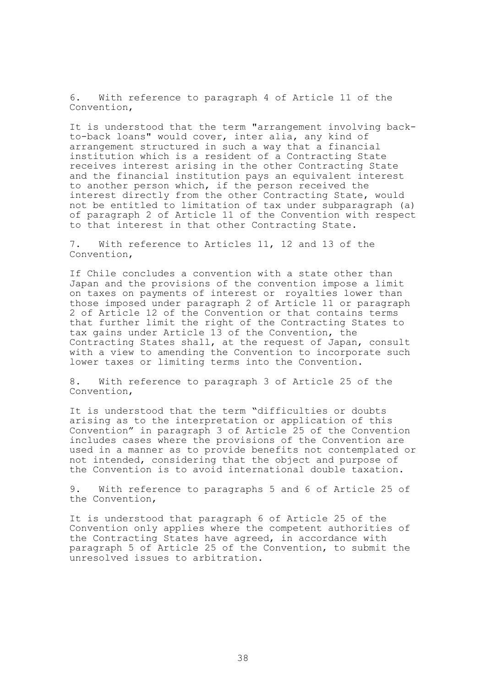6. With reference to paragraph 4 of Article 11 of the Convention,

It is understood that the term "arrangement involving backto-back loans" would cover, inter alia, any kind of arrangement structured in such a way that a financial institution which is a resident of a Contracting State receives interest arising in the other Contracting State and the financial institution pays an equivalent interest to another person which, if the person received the interest directly from the other Contracting State, would not be entitled to limitation of tax under subparagraph (a) of paragraph 2 of Article 11 of the Convention with respect to that interest in that other Contracting State.

7. With reference to Articles 11, 12 and 13 of the Convention,

If Chile concludes a convention with a state other than Japan and the provisions of the convention impose a limit on taxes on payments of interest or royalties lower than those imposed under paragraph 2 of Article 11 or paragraph 2 of Article 12 of the Convention or that contains terms that further limit the right of the Contracting States to tax gains under Article 13 of the Convention, the Contracting States shall, at the request of Japan, consult with a view to amending the Convention to incorporate such lower taxes or limiting terms into the Convention.

8. With reference to paragraph 3 of Article 25 of the Convention,

It is understood that the term "difficulties or doubts arising as to the interpretation or application of this Convention" in paragraph 3 of Article 25 of the Convention includes cases where the provisions of the Convention are used in a manner as to provide benefits not contemplated or not intended, considering that the object and purpose of the Convention is to avoid international double taxation.

9. With reference to paragraphs 5 and 6 of Article 25 of the Convention,

It is understood that paragraph 6 of Article 25 of the Convention only applies where the competent authorities of the Contracting States have agreed, in accordance with paragraph 5 of Article 25 of the Convention, to submit the unresolved issues to arbitration.